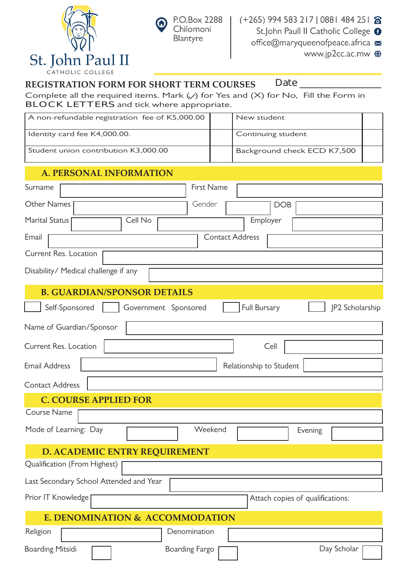



Day Scholar

#### **REGISTRATION FORM FOR SHORT TERM COURSES Date \_\_\_\_\_\_\_\_\_\_\_\_\_\_\_\_\_**

Boarding Mitsidi **Fig. 2.1 Boarding Fargo** 

Complete all the required items. Mark  $(\vee)$  for Yes and  $(X)$  for No, Fill the Form in **BLOCK LETTERS** and tick where appropriate.

|                              |                | A non-refundable registration fee of K5,000.00 |                      |              |         | New student             |                    |                                  |                 |  |
|------------------------------|----------------|------------------------------------------------|----------------------|--------------|---------|-------------------------|--------------------|----------------------------------|-----------------|--|
|                              |                | Identity card fee K4,000.00.                   |                      |              |         |                         | Continuing student |                                  |                 |  |
|                              |                | Student union contribution K3,000.00           |                      |              |         |                         |                    | Background check ECD K7,500      |                 |  |
|                              |                | <b>A. PERSONAL INFORMATION</b>                 |                      |              |         |                         |                    |                                  |                 |  |
| Surname                      |                |                                                |                      | First Name   |         |                         |                    |                                  |                 |  |
| <b>Other Names</b>           |                |                                                |                      | Gender       |         |                         | <b>DOB</b>         |                                  |                 |  |
| <b>Marital Status</b>        |                |                                                | Cell No              |              |         |                         | Employer           |                                  |                 |  |
| Email                        |                |                                                |                      |              |         | <b>Contact Address</b>  |                    |                                  |                 |  |
| Current Res. Location        |                |                                                |                      |              |         |                         |                    |                                  |                 |  |
|                              |                | Disability/ Medical challenge if any           |                      |              |         |                         |                    |                                  |                 |  |
|                              |                | <b>B. GUARDIAN/SPONSOR DETAILS</b>             |                      |              |         |                         |                    |                                  |                 |  |
|                              | Self-Sponsored |                                                | Government Sponsored |              |         | <b>Full Bursary</b>     |                    |                                  | JP2 Scholarship |  |
| Name of Guardian/Sponsor     |                |                                                |                      |              |         |                         |                    |                                  |                 |  |
| Current Res. Location        |                |                                                |                      |              |         |                         | Cell               |                                  |                 |  |
| <b>Email Address</b>         |                |                                                |                      |              |         | Relationship to Student |                    |                                  |                 |  |
| <b>Contact Address</b>       |                |                                                |                      |              |         |                         |                    |                                  |                 |  |
|                              |                | <b>C. COURSE APPLIED FOR</b>                   |                      |              |         |                         |                    |                                  |                 |  |
| Course Name                  |                |                                                |                      |              |         |                         |                    |                                  |                 |  |
| Mode of Learning: Day        |                |                                                |                      |              | Weekend |                         |                    | Evening                          |                 |  |
|                              |                | <b>D. ACADEMIC ENTRY REQUIREMENT</b>           |                      |              |         |                         |                    |                                  |                 |  |
| Qualification (From Highest) |                |                                                |                      |              |         |                         |                    |                                  |                 |  |
|                              |                | Last Secondary School Attended and Year        |                      |              |         |                         |                    |                                  |                 |  |
| Prior IT Knowledge           |                |                                                |                      |              |         |                         |                    | Attach copies of qualifications: |                 |  |
|                              |                | E. DENOMINATION & ACCOMMODATION                |                      |              |         |                         |                    |                                  |                 |  |
| Religion                     |                |                                                |                      | Denomination |         |                         |                    |                                  |                 |  |
|                              |                |                                                |                      |              |         |                         |                    |                                  |                 |  |